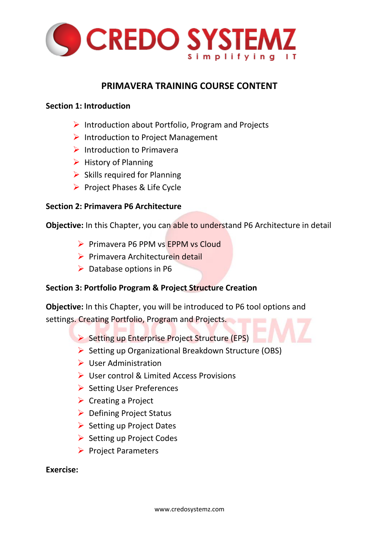

## **PRIMAVERA TRAINING COURSE CONTENT**

#### **Section 1: Introduction**

- ➢ Introduction about Portfolio, Program and Projects
- ➢ Introduction to Project Management
- ➢ Introduction to Primavera
- $\triangleright$  History of Planning
- $\triangleright$  Skills required for Planning
- ➢ Project Phases & Life Cycle

## **Section 2: Primavera P6 Architecture**

**Objective:** In this Chapter, you can able to understand P6 Architecture in detail

- ➢ Primavera P6 PPM vs EPPM vs Cloud
- ➢ Primavera Architecturein detail
- $\triangleright$  Database options in P6

## **Section 3: Portfolio Program & Project Structure Creation**

**Objective:** In this Chapter, you will be introduced to P6 tool options and settings. Creating Portfolio, Program and Projects.

- ➢ Setting up Enterprise Project Structure (EPS)
- ➢ Setting up Organizational Breakdown Structure (OBS)
- ➢ User Administration
- ➢ User control & Limited Access Provisions
- ➢ Setting User Preferences
- ➢ Creating a Project
- ➢ Defining Project Status
- ➢ Setting up Project Dates
- ➢ Setting up Project Codes
- ➢ Project Parameters

#### **Exercise:**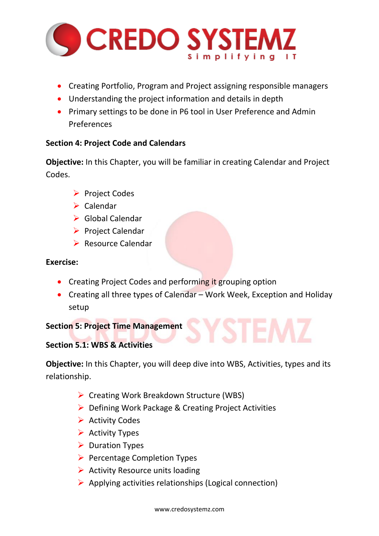

- Creating Portfolio, Program and Project assigning responsible managers
- Understanding the project information and details in depth
- Primary settings to be done in P6 tool in User Preference and Admin Preferences

## **Section 4: Project Code and Calendars**

**Objective:** In this Chapter, you will be familiar in creating Calendar and Project Codes.

- ➢ Project Codes
- ➢ Calendar
- ➢ Global Calendar
- ➢ Project Calendar
- ➢ Resource Calendar

## **Exercise:**

- Creating Project Codes and performing it grouping option
- Creating all three types of Calendar Work Week, Exception and Holiday setup

## **Section 5: Project Time Management**

## **Section 5.1: WBS & Activities**

**Objective:** In this Chapter, you will deep dive into WBS, Activities, types and its relationship.

- ➢ Creating Work Breakdown Structure (WBS)
- ➢ Defining Work Package & Creating Project Activities
- ➢ Activity Codes
- $\triangleright$  Activity Types
- ➢ Duration Types
- ➢ Percentage Completion Types
- $\triangleright$  Activity Resource units loading
- $\triangleright$  Applying activities relationships (Logical connection)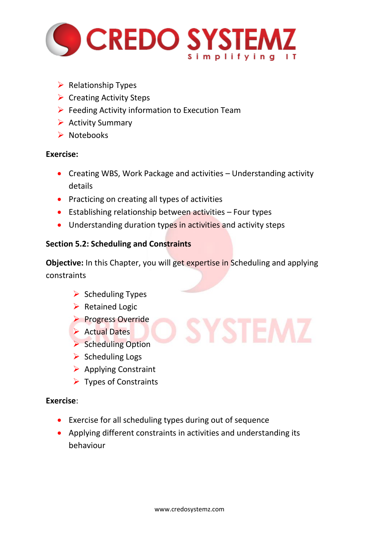

- $\triangleright$  Relationship Types
- $\triangleright$  Creating Activity Steps
- $\triangleright$  Feeding Activity information to Execution Team
- ➢ Activity Summary
- ➢ Notebooks

- Creating WBS, Work Package and activities Understanding activity details
- Practicing on creating all types of activities
- Establishing relationship between activities Four types
- Understanding duration types in activities and activity steps

## **Section 5.2: Scheduling and Constraints**

**Objective:** In this Chapter, you will get expertise in Scheduling and applying constraints

**SYSTEM:** 

- ➢ Scheduling Types
- ➢ Retained Logic
- ➢ Progress Override
- ➢ Actual Dates
- ➢ Scheduling Option
- $\triangleright$  Scheduling Logs
- ➢ Applying Constraint
- ➢ Types of Constraints

## **Exercise**:

- Exercise for all scheduling types during out of sequence
- Applying different constraints in activities and understanding its behaviour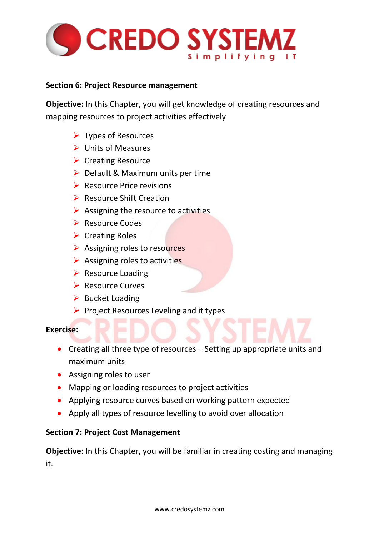

#### **Section 6: Project Resource management**

**Objective:** In this Chapter, you will get knowledge of creating resources and mapping resources to project activities effectively

- ➢ Types of Resources
- ➢ Units of Measures
- ➢ Creating Resource
- $\triangleright$  Default & Maximum units per time
- ➢ Resource Price revisions
- ➢ Resource Shift Creation
- $\triangleright$  Assigning the resource to activities
- ➢ Resource Codes
- ➢ Creating Roles
- ➢ Assigning roles to resources
- $\triangleright$  Assigning roles to activities
- $\triangleright$  Resource Loading
- ➢ Resource Curves
- $\triangleright$  Bucket Loading
- ➢ Project Resources Leveling and it types

## **Exercise:**

- Creating all three type of resources Setting up appropriate units and maximum units
- Assigning roles to user
- Mapping or loading resources to project activities
- Applying resource curves based on working pattern expected
- Apply all types of resource levelling to avoid over allocation

## **Section 7: Project Cost Management**

**Objective**: In this Chapter, you will be familiar in creating costing and managing it.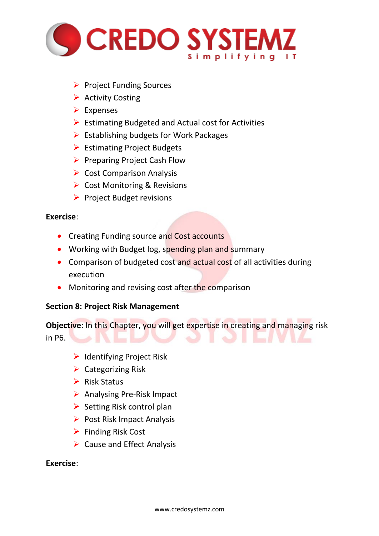

- ➢ Project Funding Sources
- $\triangleright$  Activity Costing
- ➢ Expenses
- ➢ Estimating Budgeted and Actual cost for Activities
- $\triangleright$  Establishing budgets for Work Packages
- ➢ Estimating Project Budgets
- ➢ Preparing Project Cash Flow
- ➢ Cost Comparison Analysis
- ➢ Cost Monitoring & Revisions
- ➢ Project Budget revisions

- Creating Funding source and Cost accounts
- Working with Budget log, spending plan and summary
- Comparison of budgeted cost and actual cost of all activities during execution
- Monitoring and revising cost after the comparison

## **Section 8: Project Risk Management**

| <b>Objective:</b> In this Chapter, you will get expertise in creating and managing risk |  |  |  |
|-----------------------------------------------------------------------------------------|--|--|--|
| in P6.                                                                                  |  |  |  |

- ➢ Identifying Project Risk
- $\triangleright$  Categorizing Risk
- ➢ Risk Status
- ➢ Analysing Pre-Risk Impact
- ➢ Setting Risk control plan
- $\triangleright$  Post Risk Impact Analysis
- ➢ Finding Risk Cost
- $\triangleright$  Cause and Effect Analysis

#### **Exercise**: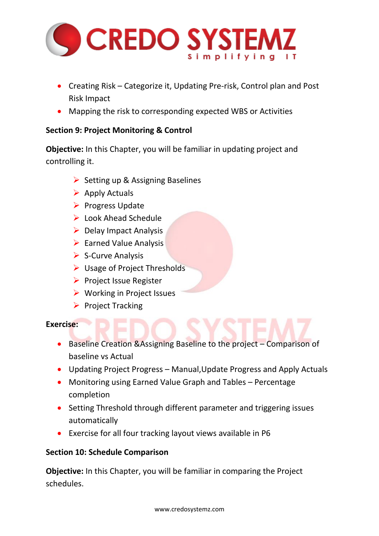

- Creating Risk Categorize it, Updating Pre-risk, Control plan and Post Risk Impact
- Mapping the risk to corresponding expected WBS or Activities

## **Section 9: Project Monitoring & Control**

**Objective:** In this Chapter, you will be familiar in updating project and controlling it.

- ➢ Setting up & Assigning Baselines
- $\triangleright$  Apply Actuals
- ➢ Progress Update
- ➢ Look Ahead Schedule
- $\triangleright$  Delay Impact Analysis
- $\triangleright$  Earned Value Analysis
- ➢ S-Curve Analysis
- ➢ Usage of Project Thresholds
- ➢ Project Issue Register
- ➢ Working in Project Issues
- ➢ Project Tracking

#### **Exercise:**

- Baseline Creation &Assigning Baseline to the project Comparison of baseline vs Actual
- Updating Project Progress Manual,Update Progress and Apply Actuals
- Monitoring using Earned Value Graph and Tables Percentage completion
- Setting Threshold through different parameter and triggering issues automatically
- Exercise for all four tracking layout views available in P6

## **Section 10: Schedule Comparison**

**Objective:** In this Chapter, you will be familiar in comparing the Project schedules.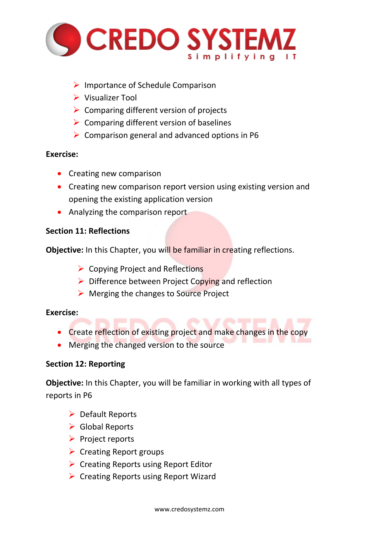

- ➢ Importance of Schedule Comparison
- ➢ Visualizer Tool
- $\triangleright$  Comparing different version of projects
- $\triangleright$  Comparing different version of baselines
- $\triangleright$  Comparison general and advanced options in P6

- Creating new comparison
- Creating new comparison report version using existing version and opening the existing application version
- Analyzing the comparison report

## **Section 11: Reflections**

**Objective:** In this Chapter, you will be familiar in creating reflections.

- ➢ Copying Project and Reflections
- $\triangleright$  Difference between Project Copying and reflection
- ➢ Merging the changes to Source Project

## **Exercise:**

• Create reflection of existing project and make changes in the copy

AVATELIT

• Merging the changed version to the source

## **Section 12: Reporting**

**Objective:** In this Chapter, you will be familiar in working with all types of reports in P6

- ➢ Default Reports
- $\triangleright$  Global Reports
- ➢ Project reports
- ➢ Creating Report groups
- ➢ Creating Reports using Report Editor
- ➢ Creating Reports using Report Wizard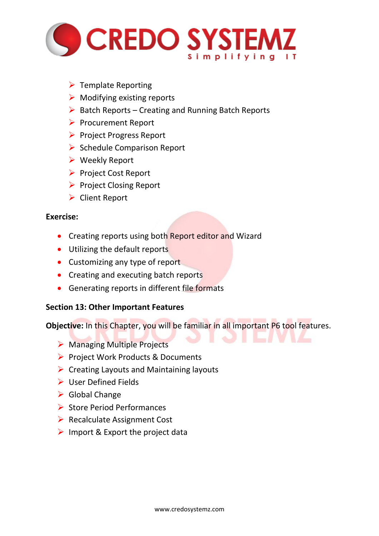

- $\triangleright$  Template Reporting
- $\triangleright$  Modifying existing reports
- $\triangleright$  Batch Reports Creating and Running Batch Reports
- ➢ Procurement Report
- ➢ Project Progress Report
- ➢ Schedule Comparison Report
- ➢ Weekly Report
- ➢ Project Cost Report
- ➢ Project Closing Report
- ➢ Client Report

- Creating reports using both Report editor and Wizard
- Utilizing the default reports
- Customizing any type of report
- Creating and executing batch reports
- Generating reports in different file formats

#### **Section 13: Other Important Features**

**Objective:** In this Chapter, you will be familiar in all important P6 tool features.

- ➢ Managing Multiple Projects
- ➢ Project Work Products & Documents
- $\triangleright$  Creating Layouts and Maintaining layouts
- ➢ User Defined Fields
- ➢ Global Change
- ➢ Store Period Performances
- ➢ Recalculate Assignment Cost
- $\triangleright$  Import & Export the project data